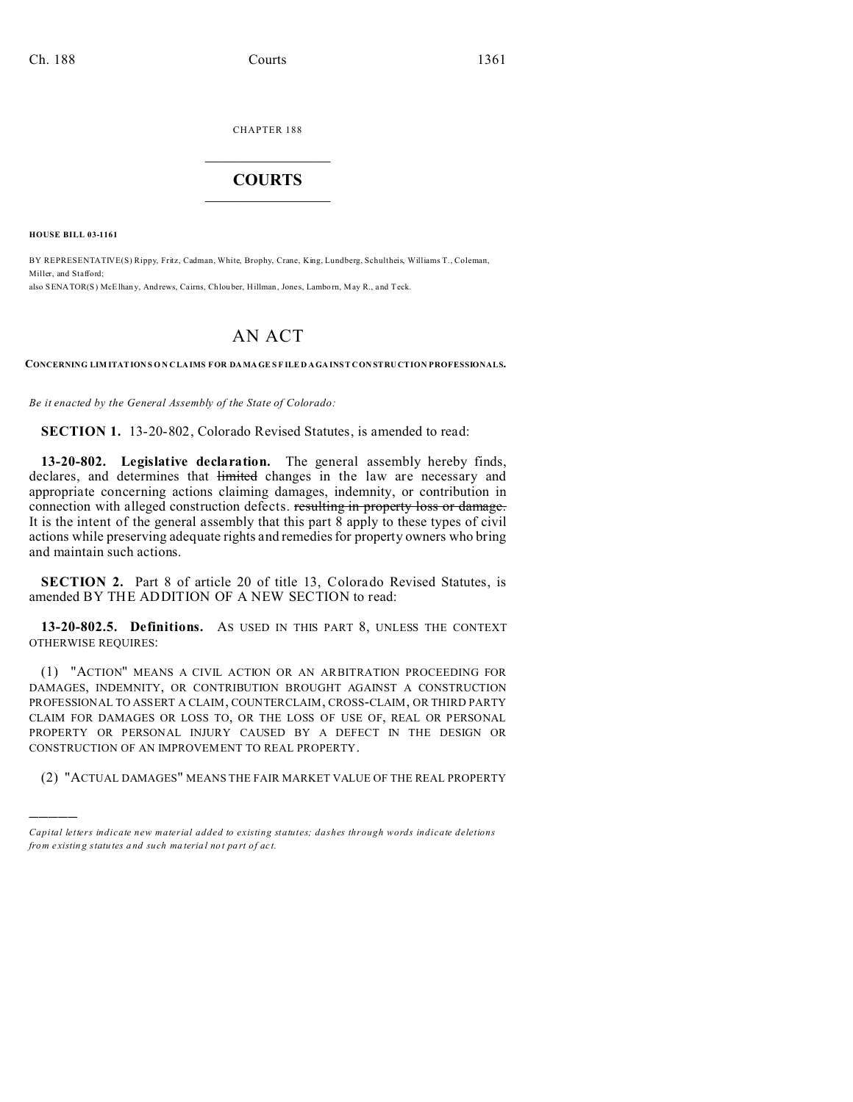CHAPTER 188  $\overline{\phantom{a}}$  , where  $\overline{\phantom{a}}$ 

## **COURTS**  $\_$

**HOUSE BILL 03-1161**

)))))

BY REPRESENTATIVE(S) Rippy, Fritz, Cadman, White, Brophy, Crane, King, Lundberg, Schultheis, Williams T., Coleman, Miller, and Stafford; also SENATOR(S) McElhan y, And rews, Ca irns, Chlouber, Hillman, Jone s, Lambo rn, May R., and Teck.

# AN ACT

**CONCERNING LIM ITATION S O N CLA IMS FOR DAMAGE S F ILE D AGA INST CON STRUCTION PROFESSIONALS.**

*Be it enacted by the General Assembly of the State of Colorado:*

**SECTION 1.** 13-20-802, Colorado Revised Statutes, is amended to read:

**13-20-802. Legislative declaration.** The general assembly hereby finds, declares, and determines that limited changes in the law are necessary and appropriate concerning actions claiming damages, indemnity, or contribution in connection with alleged construction defects. resulting in property loss or damage. It is the intent of the general assembly that this part 8 apply to these types of civil actions while preserving adequate rights and remedies for property owners who bring and maintain such actions.

**SECTION 2.** Part 8 of article 20 of title 13, Colorado Revised Statutes, is amended BY THE ADDITION OF A NEW SECTION to read:

**13-20-802.5. Definitions.** AS USED IN THIS PART 8, UNLESS THE CONTEXT OTHERWISE REQUIRES:

(1) "ACTION" MEANS A CIVIL ACTION OR AN ARBITRATION PROCEEDING FOR DAMAGES, INDEMNITY, OR CONTRIBUTION BROUGHT AGAINST A CONSTRUCTION PROFESSIONAL TO ASSERT A CLAIM, COUNTERCLAIM, CROSS-CLAIM, OR THIRD PARTY CLAIM FOR DAMAGES OR LOSS TO, OR THE LOSS OF USE OF, REAL OR PERSONAL PROPERTY OR PERSONAL INJURY CAUSED BY A DEFECT IN THE DESIGN OR CONSTRUCTION OF AN IMPROVEMENT TO REAL PROPERTY.

(2) "ACTUAL DAMAGES" MEANS THE FAIR MARKET VALUE OF THE REAL PROPERTY

*Capital letters indicate new material added to existing statutes; dashes through words indicate deletions from e xistin g statu tes a nd such ma teria l no t pa rt of ac t.*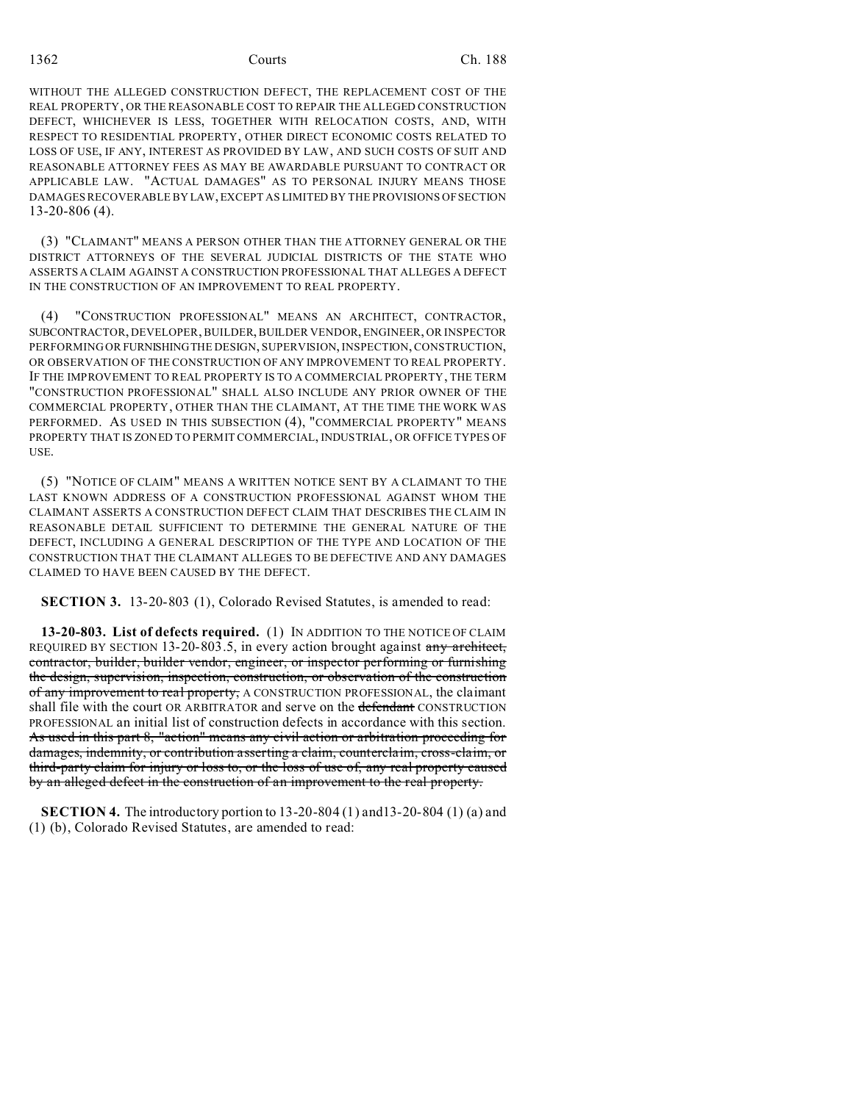WITHOUT THE ALLEGED CONSTRUCTION DEFECT, THE REPLACEMENT COST OF THE REAL PROPERTY, OR THE REASONABLE COST TO REPAIR THE ALLEGED CONSTRUCTION DEFECT, WHICHEVER IS LESS, TOGETHER WITH RELOCATION COSTS, AND, WITH RESPECT TO RESIDENTIAL PROPERTY, OTHER DIRECT ECONOMIC COSTS RELATED TO LOSS OF USE, IF ANY, INTEREST AS PROVIDED BY LAW, AND SUCH COSTS OF SUIT AND REASONABLE ATTORNEY FEES AS MAY BE AWARDABLE PURSUANT TO CONTRACT OR APPLICABLE LAW. "ACTUAL DAMAGES" AS TO PERSONAL INJURY MEANS THOSE DAMAGES RECOVERABLE BY LAW,EXCEPT AS LIMITED BY THE PROVISIONS OF SECTION 13-20-806 (4).

(3) "CLAIMANT" MEANS A PERSON OTHER THAN THE ATTORNEY GENERAL OR THE DISTRICT ATTORNEYS OF THE SEVERAL JUDICIAL DISTRICTS OF THE STATE WHO ASSERTS A CLAIM AGAINST A CONSTRUCTION PROFESSIONAL THAT ALLEGES A DEFECT IN THE CONSTRUCTION OF AN IMPROVEMENT TO REAL PROPERTY.

(4) "CONSTRUCTION PROFESSIONAL" MEANS AN ARCHITECT, CONTRACTOR, SUBCONTRACTOR, DEVELOPER, BUILDER, BUILDER VENDOR, ENGINEER, OR INSPECTOR PERFORMING OR FURNISHINGTHE DESIGN, SUPERVISION, INSPECTION, CONSTRUCTION, OR OBSERVATION OF THE CONSTRUCTION OF ANY IMPROVEMENT TO REAL PROPERTY. IF THE IMPROVEMENT TO REAL PROPERTY IS TO A COMMERCIAL PROPERTY, THE TERM "CONSTRUCTION PROFESSIONAL" SHALL ALSO INCLUDE ANY PRIOR OWNER OF THE COMMERCIAL PROPERTY, OTHER THAN THE CLAIMANT, AT THE TIME THE WORK WAS PERFORMED. AS USED IN THIS SUBSECTION (4), "COMMERCIAL PROPERTY" MEANS PROPERTY THAT IS ZONED TO PERMIT COMMERCIAL, INDUSTRIAL, OR OFFICE TYPES OF USE.

(5) "NOTICE OF CLAIM" MEANS A WRITTEN NOTICE SENT BY A CLAIMANT TO THE LAST KNOWN ADDRESS OF A CONSTRUCTION PROFESSIONAL AGAINST WHOM THE CLAIMANT ASSERTS A CONSTRUCTION DEFECT CLAIM THAT DESCRIBES THE CLAIM IN REASONABLE DETAIL SUFFICIENT TO DETERMINE THE GENERAL NATURE OF THE DEFECT, INCLUDING A GENERAL DESCRIPTION OF THE TYPE AND LOCATION OF THE CONSTRUCTION THAT THE CLAIMANT ALLEGES TO BE DEFECTIVE AND ANY DAMAGES CLAIMED TO HAVE BEEN CAUSED BY THE DEFECT.

**SECTION 3.** 13-20-803 (1), Colorado Revised Statutes, is amended to read:

**13-20-803. List of defects required.** (1) IN ADDITION TO THE NOTICE OF CLAIM REQUIRED BY SECTION 13-20-803.5, in every action brought against any architect, contractor, builder, builder vendor, engineer, or inspector performing or furnishing the design, supervision, inspection, construction, or observation of the construction of any improvement to real property, A CONSTRUCTION PROFESSIONAL, the claimant shall file with the court OR ARBITRATOR and serve on the defendant CONSTRUCTION PROFESSIONAL an initial list of construction defects in accordance with this section. As used in this part 8, "action" means any civil action or arbitration proceeding for damages, indemnity, or contribution asserting a claim, counterclaim, cross-claim, or third-party claim for injury or loss to, or the loss of use of, any real property caused by an alleged defect in the construction of an improvement to the real property.

**SECTION 4.** The introductory portion to 13-20-804 (1) and13-20-804 (1) (a) and (1) (b), Colorado Revised Statutes, are amended to read: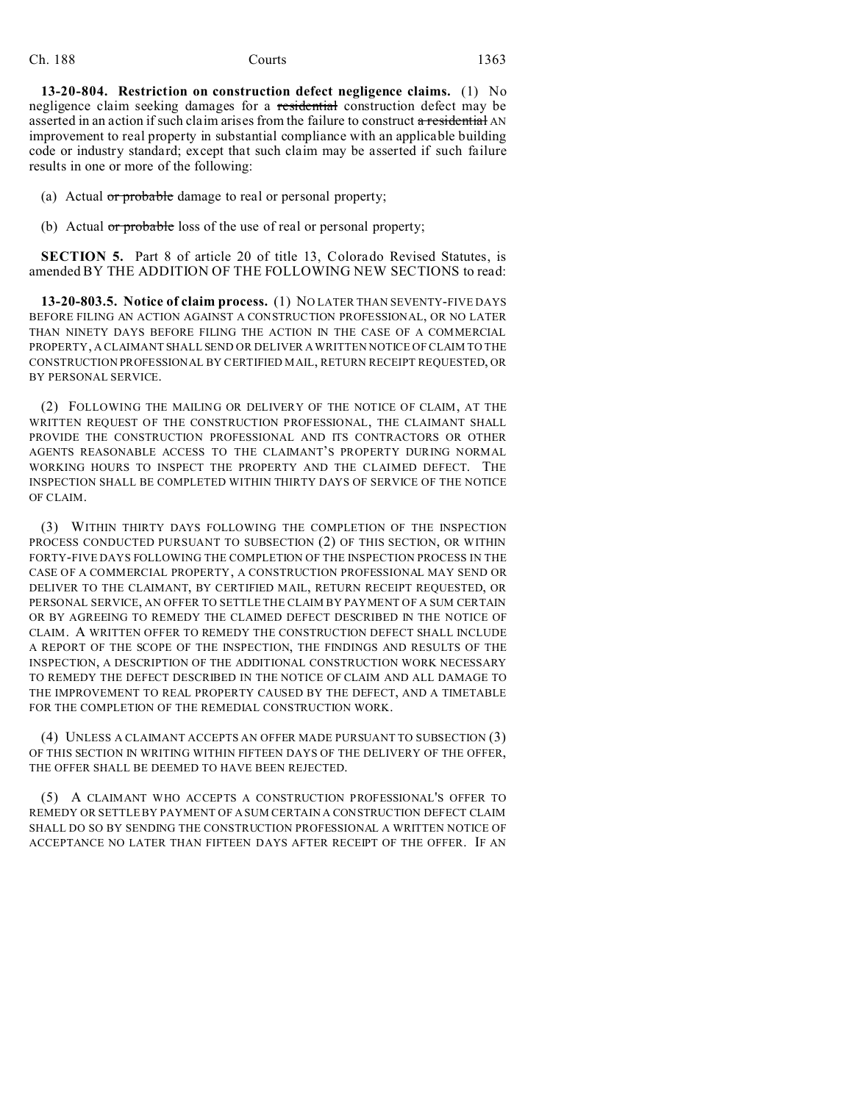Ch. 188 Courts 1363

**13-20-804. Restriction on construction defect negligence claims.** (1) No negligence claim seeking damages for a residential construction defect may be asserted in an action if such claim arises from the failure to construct  $\alpha$  residential AN improvement to real property in substantial compliance with an applicable building code or industry standard; except that such claim may be asserted if such failure results in one or more of the following:

(a) Actual or probable damage to real or personal property;

(b) Actual  $\sigma r$  probable loss of the use of real or personal property;

**SECTION 5.** Part 8 of article 20 of title 13, Colorado Revised Statutes, is amended BY THE ADDITION OF THE FOLLOWING NEW SECTIONS to read:

**13-20-803.5. Notice of claim process.** (1) NO LATER THAN SEVENTY-FIVE DAYS BEFORE FILING AN ACTION AGAINST A CONSTRUCTION PROFESSIONAL, OR NO LATER THAN NINETY DAYS BEFORE FILING THE ACTION IN THE CASE OF A COMMERCIAL PROPERTY, A CLAIMANT SHALL SEND OR DELIVER A WRITTEN NOTICE OF CLAIM TO THE CONSTRUCTION PROFESSIONAL BY CERTIFIED MAIL, RETURN RECEIPT REQUESTED, OR BY PERSONAL SERVICE.

(2) FOLLOWING THE MAILING OR DELIVERY OF THE NOTICE OF CLAIM, AT THE WRITTEN REQUEST OF THE CONSTRUCTION PROFESSIONAL, THE CLAIMANT SHALL PROVIDE THE CONSTRUCTION PROFESSIONAL AND ITS CONTRACTORS OR OTHER AGENTS REASONABLE ACCESS TO THE CLAIMANT'S PROPERTY DURING NORMAL WORKING HOURS TO INSPECT THE PROPERTY AND THE CLAIMED DEFECT. THE INSPECTION SHALL BE COMPLETED WITHIN THIRTY DAYS OF SERVICE OF THE NOTICE OF CLAIM.

(3) WITHIN THIRTY DAYS FOLLOWING THE COMPLETION OF THE INSPECTION PROCESS CONDUCTED PURSUANT TO SUBSECTION (2) OF THIS SECTION, OR WITHIN FORTY-FIVE DAYS FOLLOWING THE COMPLETION OF THE INSPECTION PROCESS IN THE CASE OF A COMMERCIAL PROPERTY, A CONSTRUCTION PROFESSIONAL MAY SEND OR DELIVER TO THE CLAIMANT, BY CERTIFIED MAIL, RETURN RECEIPT REQUESTED, OR PERSONAL SERVICE, AN OFFER TO SETTLE THE CLAIM BY PAYMENT OF A SUM CERTAIN OR BY AGREEING TO REMEDY THE CLAIMED DEFECT DESCRIBED IN THE NOTICE OF CLAIM. A WRITTEN OFFER TO REMEDY THE CONSTRUCTION DEFECT SHALL INCLUDE A REPORT OF THE SCOPE OF THE INSPECTION, THE FINDINGS AND RESULTS OF THE INSPECTION, A DESCRIPTION OF THE ADDITIONAL CONSTRUCTION WORK NECESSARY TO REMEDY THE DEFECT DESCRIBED IN THE NOTICE OF CLAIM AND ALL DAMAGE TO THE IMPROVEMENT TO REAL PROPERTY CAUSED BY THE DEFECT, AND A TIMETABLE FOR THE COMPLETION OF THE REMEDIAL CONSTRUCTION WORK.

(4) UNLESS A CLAIMANT ACCEPTS AN OFFER MADE PURSUANT TO SUBSECTION (3) OF THIS SECTION IN WRITING WITHIN FIFTEEN DAYS OF THE DELIVERY OF THE OFFER, THE OFFER SHALL BE DEEMED TO HAVE BEEN REJECTED.

(5) A CLAIMANT WHO ACCEPTS A CONSTRUCTION PROFESSIONAL'S OFFER TO REMEDY OR SETTLE BY PAYMENT OF A SUM CERTAIN A CONSTRUCTION DEFECT CLAIM SHALL DO SO BY SENDING THE CONSTRUCTION PROFESSIONAL A WRITTEN NOTICE OF ACCEPTANCE NO LATER THAN FIFTEEN DAYS AFTER RECEIPT OF THE OFFER. IF AN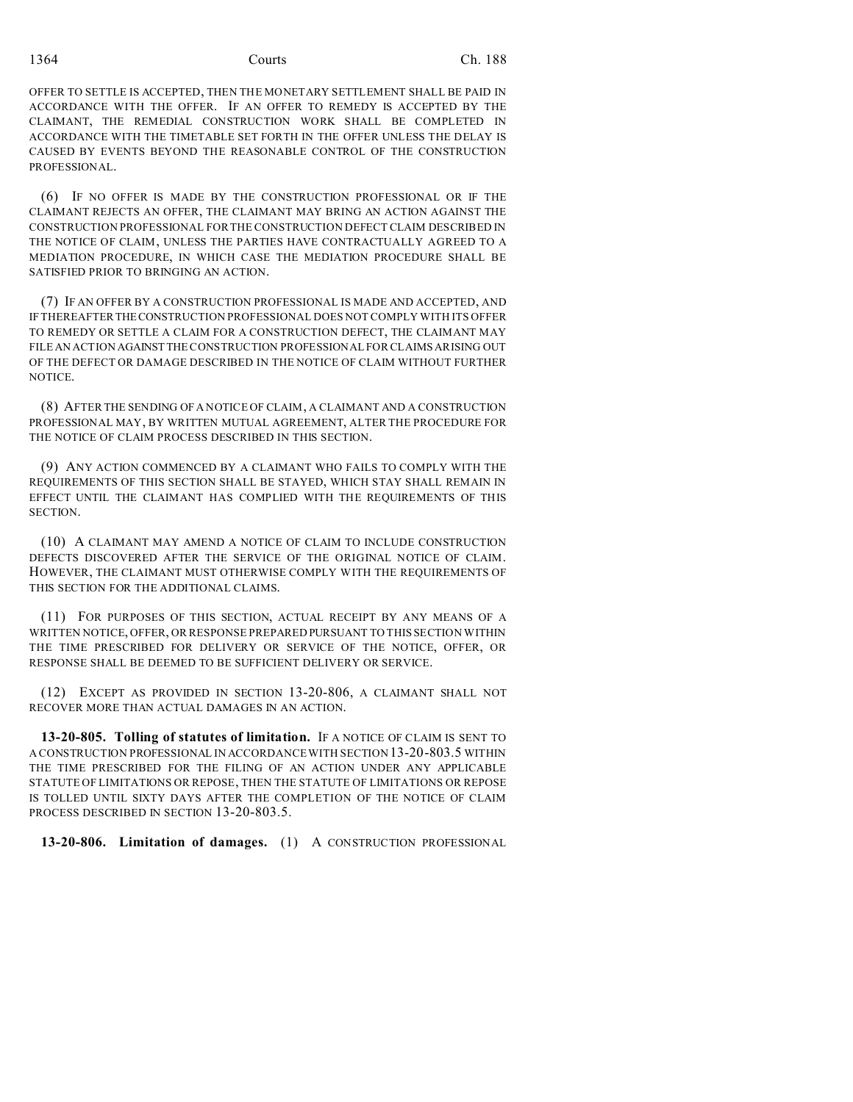OFFER TO SETTLE IS ACCEPTED, THEN THE MONETARY SETTLEMENT SHALL BE PAID IN ACCORDANCE WITH THE OFFER. IF AN OFFER TO REMEDY IS ACCEPTED BY THE CLAIMANT, THE REMEDIAL CONSTRUCTION WORK SHALL BE COMPLETED IN ACCORDANCE WITH THE TIMETABLE SET FORTH IN THE OFFER UNLESS THE DELAY IS CAUSED BY EVENTS BEYOND THE REASONABLE CONTROL OF THE CONSTRUCTION PROFESSIONAL.

(6) IF NO OFFER IS MADE BY THE CONSTRUCTION PROFESSIONAL OR IF THE CLAIMANT REJECTS AN OFFER, THE CLAIMANT MAY BRING AN ACTION AGAINST THE CONSTRUCTION PROFESSIONAL FOR THE CONSTRUCTION DEFECT CLAIM DESCRIBED IN THE NOTICE OF CLAIM, UNLESS THE PARTIES HAVE CONTRACTUALLY AGREED TO A MEDIATION PROCEDURE, IN WHICH CASE THE MEDIATION PROCEDURE SHALL BE SATISFIED PRIOR TO BRINGING AN ACTION.

(7) IF AN OFFER BY A CONSTRUCTION PROFESSIONAL IS MADE AND ACCEPTED, AND IF THEREAFTER THE CONSTRUCTION PROFESSIONAL DOES NOT COMPLY WITH ITS OFFER TO REMEDY OR SETTLE A CLAIM FOR A CONSTRUCTION DEFECT, THE CLAIMANT MAY FILE AN ACTION AGAINSTTHE CONSTRUCTION PROFESSIONAL FOR CLAIMS ARISING OUT OF THE DEFECT OR DAMAGE DESCRIBED IN THE NOTICE OF CLAIM WITHOUT FURTHER NOTICE.

(8) AFTER THE SENDING OF A NOTICE OF CLAIM, A CLAIMANT AND A CONSTRUCTION PROFESSIONAL MAY, BY WRITTEN MUTUAL AGREEMENT, ALTER THE PROCEDURE FOR THE NOTICE OF CLAIM PROCESS DESCRIBED IN THIS SECTION.

(9) ANY ACTION COMMENCED BY A CLAIMANT WHO FAILS TO COMPLY WITH THE REQUIREMENTS OF THIS SECTION SHALL BE STAYED, WHICH STAY SHALL REMAIN IN EFFECT UNTIL THE CLAIMANT HAS COMPLIED WITH THE REQUIREMENTS OF THIS SECTION.

(10) A CLAIMANT MAY AMEND A NOTICE OF CLAIM TO INCLUDE CONSTRUCTION DEFECTS DISCOVERED AFTER THE SERVICE OF THE ORIGINAL NOTICE OF CLAIM. HOWEVER, THE CLAIMANT MUST OTHERWISE COMPLY WITH THE REQUIREMENTS OF THIS SECTION FOR THE ADDITIONAL CLAIMS.

(11) FOR PURPOSES OF THIS SECTION, ACTUAL RECEIPT BY ANY MEANS OF A WRITTEN NOTICE, OFFER, OR RESPONSE PREPARED PURSUANT TO THIS SECTION WITHIN THE TIME PRESCRIBED FOR DELIVERY OR SERVICE OF THE NOTICE, OFFER, OR RESPONSE SHALL BE DEEMED TO BE SUFFICIENT DELIVERY OR SERVICE.

(12) EXCEPT AS PROVIDED IN SECTION 13-20-806, A CLAIMANT SHALL NOT RECOVER MORE THAN ACTUAL DAMAGES IN AN ACTION.

**13-20-805. Tolling of statutes of limitation.** IF A NOTICE OF CLAIM IS SENT TO A CONSTRUCTION PROFESSIONAL IN ACCORDANCE WITH SECTION 13-20-803.5 WITHIN THE TIME PRESCRIBED FOR THE FILING OF AN ACTION UNDER ANY APPLICABLE STATUTE OF LIMITATIONS OR REPOSE, THEN THE STATUTE OF LIMITATIONS OR REPOSE IS TOLLED UNTIL SIXTY DAYS AFTER THE COMPLETION OF THE NOTICE OF CLAIM PROCESS DESCRIBED IN SECTION 13-20-803.5.

**13-20-806. Limitation of damages.** (1) A CONSTRUCTION PROFESSIONAL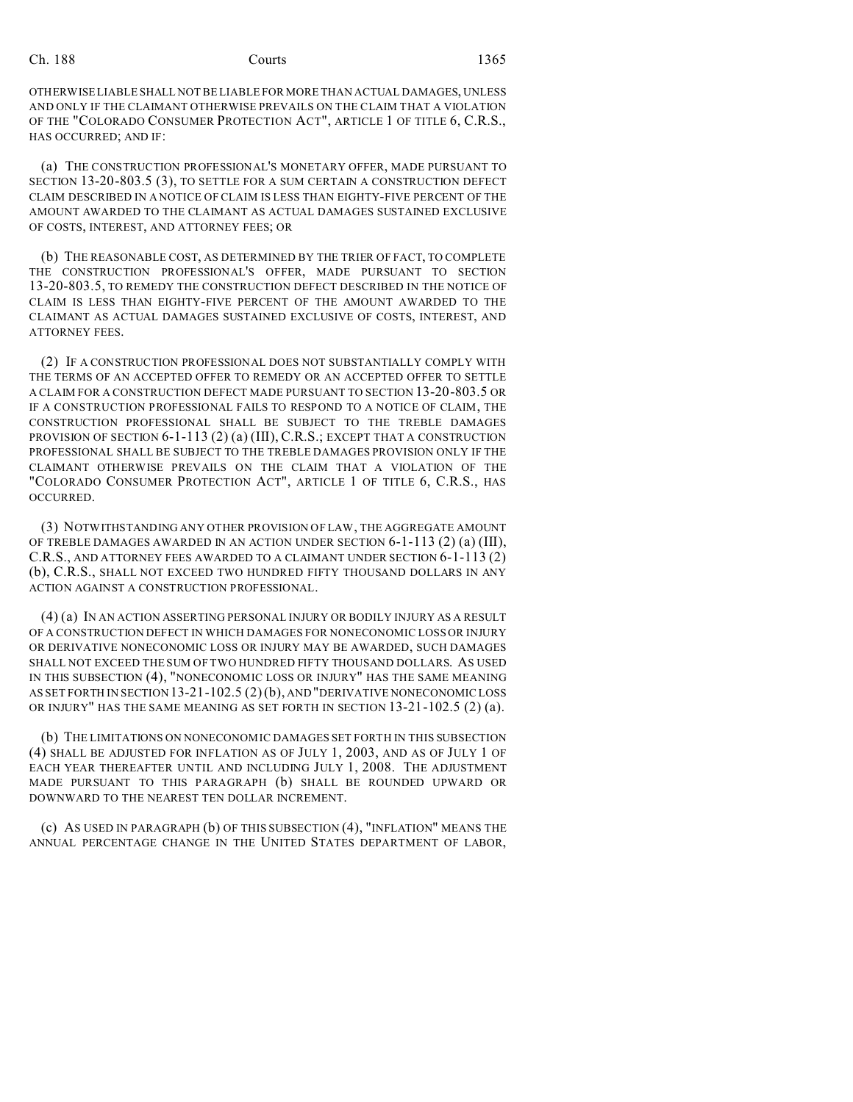OTHERWISE LIABLE SHALL NOT BE LIABLE FOR MORE THAN ACTUAL DAMAGES, UNLESS AND ONLY IF THE CLAIMANT OTHERWISE PREVAILS ON THE CLAIM THAT A VIOLATION OF THE "COLORADO CONSUMER PROTECTION ACT", ARTICLE 1 OF TITLE 6, C.R.S., HAS OCCURRED; AND IF:

(a) THE CONSTRUCTION PROFESSIONAL'S MONETARY OFFER, MADE PURSUANT TO SECTION 13-20-803.5 (3), TO SETTLE FOR A SUM CERTAIN A CONSTRUCTION DEFECT CLAIM DESCRIBED IN A NOTICE OF CLAIM IS LESS THAN EIGHTY-FIVE PERCENT OF THE AMOUNT AWARDED TO THE CLAIMANT AS ACTUAL DAMAGES SUSTAINED EXCLUSIVE OF COSTS, INTEREST, AND ATTORNEY FEES; OR

(b) THE REASONABLE COST, AS DETERMINED BY THE TRIER OF FACT, TO COMPLETE THE CONSTRUCTION PROFESSIONAL'S OFFER, MADE PURSUANT TO SECTION 13-20-803.5, TO REMEDY THE CONSTRUCTION DEFECT DESCRIBED IN THE NOTICE OF CLAIM IS LESS THAN EIGHTY-FIVE PERCENT OF THE AMOUNT AWARDED TO THE CLAIMANT AS ACTUAL DAMAGES SUSTAINED EXCLUSIVE OF COSTS, INTEREST, AND ATTORNEY FEES.

(2) IF A CONSTRUCTION PROFESSIONAL DOES NOT SUBSTANTIALLY COMPLY WITH THE TERMS OF AN ACCEPTED OFFER TO REMEDY OR AN ACCEPTED OFFER TO SETTLE A CLAIM FOR A CONSTRUCTION DEFECT MADE PURSUANT TO SECTION 13-20-803.5 OR IF A CONSTRUCTION PROFESSIONAL FAILS TO RESPOND TO A NOTICE OF CLAIM, THE CONSTRUCTION PROFESSIONAL SHALL BE SUBJECT TO THE TREBLE DAMAGES PROVISION OF SECTION 6-1-113 (2) (a) (III), C.R.S.; EXCEPT THAT A CONSTRUCTION PROFESSIONAL SHALL BE SUBJECT TO THE TREBLE DAMAGES PROVISION ONLY IF THE CLAIMANT OTHERWISE PREVAILS ON THE CLAIM THAT A VIOLATION OF THE "COLORADO CONSUMER PROTECTION ACT", ARTICLE 1 OF TITLE 6, C.R.S., HAS OCCURRED.

(3) NOTWITHSTANDING ANY OTHER PROVISION OF LAW, THE AGGREGATE AMOUNT OF TREBLE DAMAGES AWARDED IN AN ACTION UNDER SECTION  $6-1-113$  (2) (a) (III), C.R.S., AND ATTORNEY FEES AWARDED TO A CLAIMANT UNDER SECTION 6-1-113 (2) (b), C.R.S., SHALL NOT EXCEED TWO HUNDRED FIFTY THOUSAND DOLLARS IN ANY ACTION AGAINST A CONSTRUCTION PROFESSIONAL.

(4) (a) IN AN ACTION ASSERTING PERSONAL INJURY OR BODILY INJURY AS A RESULT OF A CONSTRUCTION DEFECT IN WHICH DAMAGES FOR NONECONOMIC LOSS OR INJURY OR DERIVATIVE NONECONOMIC LOSS OR INJURY MAY BE AWARDED, SUCH DAMAGES SHALL NOT EXCEED THE SUM OF TWO HUNDRED FIFTY THOUSAND DOLLARS. AS USED IN THIS SUBSECTION (4), "NONECONOMIC LOSS OR INJURY" HAS THE SAME MEANING AS SET FORTH IN SECTION 13-21-102.5 (2)(b), AND "DERIVATIVE NONECONOMIC LOSS OR INJURY" HAS THE SAME MEANING AS SET FORTH IN SECTION 13-21-102.5 (2) (a).

(b) THE LIMITATIONS ON NONECONOMIC DAMAGES SET FORTH IN THIS SUBSECTION (4) SHALL BE ADJUSTED FOR INFLATION AS OF JULY 1, 2003, AND AS OF JULY 1 OF EACH YEAR THEREAFTER UNTIL AND INCLUDING JULY 1, 2008. THE ADJUSTMENT MADE PURSUANT TO THIS PARAGRAPH (b) SHALL BE ROUNDED UPWARD OR DOWNWARD TO THE NEAREST TEN DOLLAR INCREMENT.

(c) AS USED IN PARAGRAPH (b) OF THIS SUBSECTION (4), "INFLATION" MEANS THE ANNUAL PERCENTAGE CHANGE IN THE UNITED STATES DEPARTMENT OF LABOR,